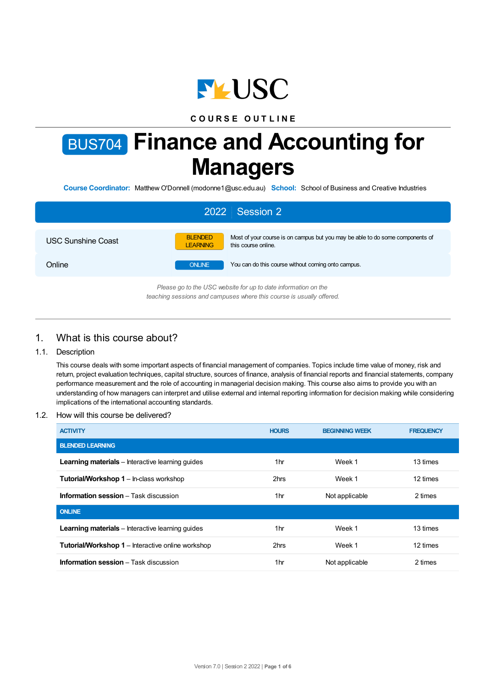

# **C O U R S E O U T L I N E**

# BUS704 **Finance and Accounting for Managers**

**Course Coordinator:** Matthew O'Donnell (modonne1@usc.edu.au) **School:** School of Business and Creative Industries

| 2022 Session 2                                                                                                                         |                                   |                                                                                                      |  |  |  |
|----------------------------------------------------------------------------------------------------------------------------------------|-----------------------------------|------------------------------------------------------------------------------------------------------|--|--|--|
| <b>USC Sunshine Coast</b>                                                                                                              | <b>BLENDED</b><br><b>LEARNING</b> | Most of your course is on campus but you may be able to do some components of<br>this course online. |  |  |  |
| Online                                                                                                                                 | <b>ONLINE</b>                     | You can do this course without coming onto campus.                                                   |  |  |  |
| Please go to the USC website for up to date information on the<br>teaching sessions and campuses where this course is usually offered. |                                   |                                                                                                      |  |  |  |

# 1. What is this course about?

#### 1.1. Description

This course deals with some important aspects of financial management of companies. Topics include time value of money, risk and return, project evaluation techniques, capital structure, sources of finance, analysis of financial reports and financial statements, company performance measurement and the role of accounting in managerial decision making. This course also aims to provide you with an understanding of how managers can interpret and utilise external and internal reporting information for decision making while considering implications of the international accounting standards.

#### 1.2. How will this course be delivered?

| <b>ACTIVITY</b>                                          | <b>HOURS</b> | <b>BEGINNING WEEK</b> | <b>FREQUENCY</b> |
|----------------------------------------------------------|--------------|-----------------------|------------------|
| <b>BLENDED LEARNING</b>                                  |              |                       |                  |
| <b>Learning materials</b> – Interactive learning quides  | 1hr          | Week 1                | 13 times         |
| <b>Tutorial/Workshop 1</b> – In-class workshop           | 2hrs         | Week 1                | 12 times         |
| <b>Information session</b> – Task discussion             | 1hr          | Not applicable        | 2 times          |
| <b>ONLINE</b>                                            |              |                       |                  |
| <b>Learning materials</b> – Interactive learning quides  | 1hr          | Week 1                | 13 times         |
| <b>Tutorial/Workshop 1</b> – Interactive online workshop | 2hrs         | Week 1                | 12 times         |
| <b>Information session</b> – Task discussion             | 1hr          | Not applicable        | 2 times          |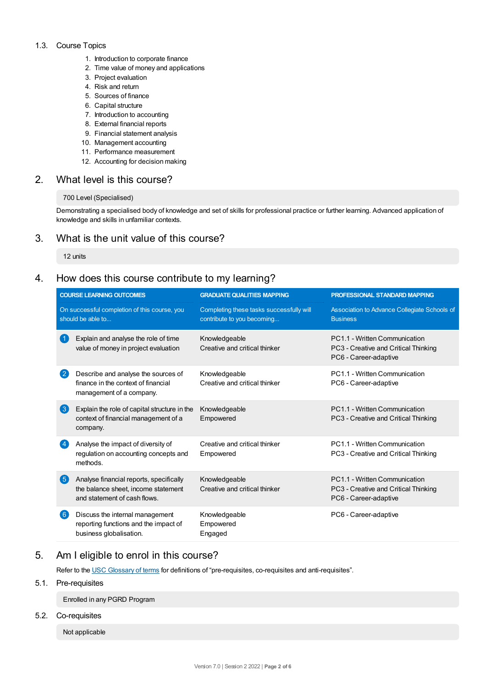#### 1.3. Course Topics

- 1. Introduction to corporate finance
- 2. Time value of money and applications
- 3. Project evaluation
- 4. Risk and return
- 5. Sources of finance
- 6. Capital structure
- 7. Introduction to accounting
- 8. External financial reports
- 9. Financial statement analysis
- 10. Management accounting
- 11. Performance measurement
- 12. Accounting for decision making

## 2. What level is this course?

#### 700 Level (Specialised)

Demonstrating a specialised body of knowledge and set of skills for professional practice or further learning. Advanced application of knowledge and skills in unfamiliar contexts.

## 3. What is the unit value of this course?

12 units

# 4. How does this course contribute to my learning?

| <b>COURSE LEARNING OUTCOMES</b> |                                                                                                                | <b>GRADUATE QUALITIES MAPPING</b>                                      | <b>PROFESSIONAL STANDARD MAPPING</b>                                                           |  |  |
|---------------------------------|----------------------------------------------------------------------------------------------------------------|------------------------------------------------------------------------|------------------------------------------------------------------------------------------------|--|--|
|                                 | On successful completion of this course, you<br>should be able to                                              | Completing these tasks successfully will<br>contribute to you becoming | Association to Advance Collegiate Schools of<br><b>Business</b>                                |  |  |
| 〔1                              | Explain and analyse the role of time<br>value of money in project evaluation                                   | Knowledgeable<br>Creative and critical thinker                         | PC1.1 - Written Communication<br>PC3 - Creative and Critical Thinking<br>PC6 - Career-adaptive |  |  |
| $\left( 2\right)$               | Describe and analyse the sources of<br>finance in the context of financial<br>management of a company.         | Knowledgeable<br>Creative and critical thinker                         | PC1.1 - Written Communication<br>PC6 - Career-adaptive                                         |  |  |
| 3                               | Explain the role of capital structure in the<br>context of financial management of a<br>company.               | Knowledgeable<br>Empowered                                             | PC1.1 - Written Communication<br>PC3 - Creative and Critical Thinking                          |  |  |
|                                 | Analyse the impact of diversity of<br>regulation on accounting concepts and<br>methods.                        | Creative and critical thinker<br>Empowered                             | PC1.1 - Written Communication<br>PC3 - Creative and Critical Thinking                          |  |  |
| 6                               | Analyse financial reports, specifically<br>the balance sheet, income statement<br>and statement of cash flows. | Knowledgeable<br>Creative and critical thinker                         | PC1.1 - Written Communication<br>PC3 - Creative and Critical Thinking<br>PC6 - Career-adaptive |  |  |
| $\boxed{6}$                     | Discuss the internal management<br>reporting functions and the impact of<br>business globalisation.            | Knowledgeable<br>Empowered<br>Engaged                                  | PC6 - Career-adaptive                                                                          |  |  |

# 5. Am Ieligible to enrol in this course?

Refer to the USC [Glossary](https://www.usc.edu.au/about/policies-and-procedures/glossary-of-terms-for-policy-and-procedures) of terms for definitions of "pre-requisites, co-requisites and anti-requisites".

#### 5.1. Pre-requisites

Enrolled in any PGRD Program

#### 5.2. Co-requisites

Not applicable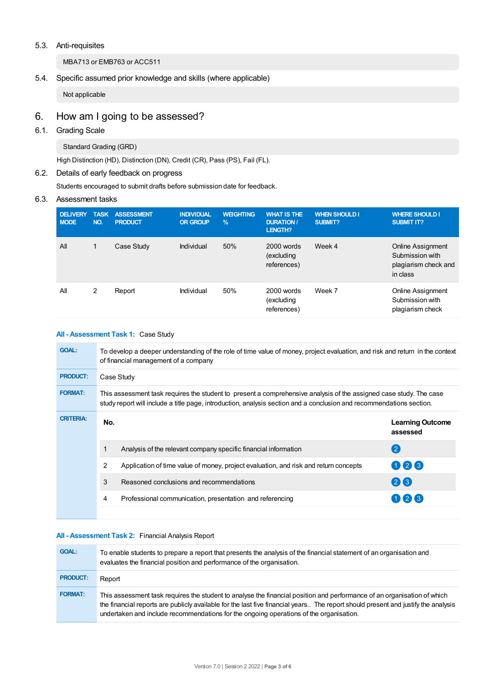#### 5.3. Anti-requisites

MBA713 or EMB763 or ACC511

## 5.4. Specific assumed prior knowledge and skills (where applicable)

Not applicable

# 6. How am Igoing to be assessed?

# 6.1. Grading Scale

Standard Grading (GRD)

High Distinction (HD), Distinction (DN), Credit (CR), Pass (PS), Fail (FL).

## 6.2. Details of early feedback on progress

Students encouraged to submit drafts before submission date for feedback.

#### 6.3. Assessment tasks

| <b>DELIVERY</b><br><b>NODE</b> | <b>TASK</b><br>NO. | <b>ASSESSMENT</b><br><b>PRODUCT</b> | <b>INDIVIDUAL</b><br><b>OR GROUP</b> | <b>WEIGHTING</b><br>$\frac{9}{6}$ | <b>WHAT IS THE</b><br><b>DURATION /</b><br><b>LENGTH?</b> | <b>WHEN SHOULD I</b><br><b>SUBMIT?</b> | <b>WHERE SHOULD I</b><br><b>SUBMIT IT?</b>                               |
|--------------------------------|--------------------|-------------------------------------|--------------------------------------|-----------------------------------|-----------------------------------------------------------|----------------------------------------|--------------------------------------------------------------------------|
| All                            | 1                  | Case Study                          | Individual                           | 50%                               | 2000 words<br>(excluding<br>references)                   | Week 4                                 | Online Assignment<br>Submission with<br>plagiarism check and<br>in class |
| All                            | 2                  | Report                              | Individual                           | 50%                               | 2000 words<br>(excluding<br>references)                   | Week 7                                 | Online Assignment<br>Submission with<br>plagiarism check                 |

#### **All - Assessment Task 1:** Case Study

| <b>GOAL:</b>     | To develop a deeper understanding of the role of time value of money, project evaluation, and risk and return in the context<br>of financial management of a company |                                                                                                                                                                                                                                            |                                     |  |  |  |  |  |
|------------------|----------------------------------------------------------------------------------------------------------------------------------------------------------------------|--------------------------------------------------------------------------------------------------------------------------------------------------------------------------------------------------------------------------------------------|-------------------------------------|--|--|--|--|--|
| <b>PRODUCT:</b>  |                                                                                                                                                                      | Case Study                                                                                                                                                                                                                                 |                                     |  |  |  |  |  |
| <b>FORMAT:</b>   |                                                                                                                                                                      | This assessment task requires the student to present a comprehensive analysis of the assigned case study. The case<br>study report will include a title page, introduction, analysis section and a conclusion and recommendations section. |                                     |  |  |  |  |  |
| <b>CRITERIA:</b> | No.                                                                                                                                                                  |                                                                                                                                                                                                                                            | <b>Learning Outcome</b><br>assessed |  |  |  |  |  |
|                  |                                                                                                                                                                      | Analysis of the relevant company specific financial information                                                                                                                                                                            | $\left( 2 \right)$                  |  |  |  |  |  |
|                  | 2                                                                                                                                                                    | Application of time value of money, project evaluation, and risk and return concepts                                                                                                                                                       | 026                                 |  |  |  |  |  |
|                  | 3                                                                                                                                                                    | Reasoned conclusions and recommendations                                                                                                                                                                                                   | $(2)$ $(3)$                         |  |  |  |  |  |
|                  | 4                                                                                                                                                                    | Professional communication, presentation and referencing                                                                                                                                                                                   | 2 <sub>1</sub>                      |  |  |  |  |  |
|                  |                                                                                                                                                                      |                                                                                                                                                                                                                                            |                                     |  |  |  |  |  |

#### **All - Assessment Task 2:** Financial Analysis Report

| <b>GOAL:</b>    | To enable students to prepare a report that presents the analysis of the financial statement of an organisation and<br>evaluates the financial position and performance of the organisation.                                                                                                                                                           |
|-----------------|--------------------------------------------------------------------------------------------------------------------------------------------------------------------------------------------------------------------------------------------------------------------------------------------------------------------------------------------------------|
| <b>PRODUCT:</b> | Report                                                                                                                                                                                                                                                                                                                                                 |
| <b>FORMAT:</b>  | This assessment task requires the student to analyse the financial position and performance of an organisation of which<br>the financial reports are publicly available for the last five financial years The report should present and justify the analysis<br>undertaken and include recommendations for the ongoing operations of the organisation. |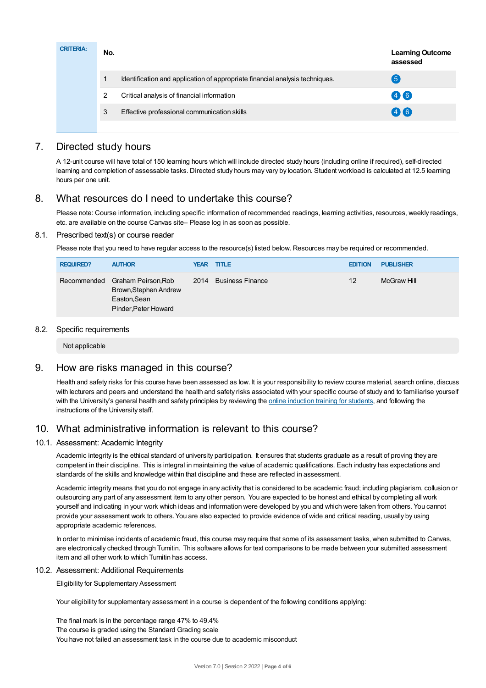| <b>CRITERIA:</b> | No. |                                                                              | <b>Learning Outcome</b><br>assessed |
|------------------|-----|------------------------------------------------------------------------------|-------------------------------------|
|                  |     | Identification and application of appropriate financial analysis techniques. | $\overline{5}$                      |
|                  | 2   | Critical analysis of financial information                                   | 46                                  |
|                  | 3   | Effective professional communication skills                                  | 46                                  |
|                  |     |                                                                              |                                     |

# 7. Directed study hours

A 12-unit course will have total of 150 learning hours which will include directed study hours (including online if required), self-directed learning and completion of assessable tasks. Directed study hours may vary by location. Student workload is calculated at 12.5 learning hours per one unit.

# 8. What resources do I need to undertake this course?

Please note: Course information, including specific information of recommended readings, learning activities, resources, weekly readings, etc. are available on the course Canvas site– Please log in as soon as possible.

#### 8.1. Prescribed text(s) or course reader

Please note that you need to have regular access to the resource(s) listed below. Resources may be required or recommended.

| <b>REQUIRED?</b> | <b>AUTHOR</b>                                                                                    | <b>YEAR TITLE</b>     | <b>EDITION</b> | <b>PUBLISHER</b> |
|------------------|--------------------------------------------------------------------------------------------------|-----------------------|----------------|------------------|
|                  | Recommended Graham Peirson, Rob<br>Brown, Stephen Andrew<br>Easton, Sean<br>Pinder, Peter Howard | 2014 Business Finance | 12             | McGraw Hill      |

#### 8.2. Specific requirements

Not applicable

# 9. How are risks managed in this course?

Health and safety risks for this course have been assessed as low. It is your responsibility to review course material, search online, discuss with lecturers and peers and understand the health and safety risks associated with your specific course of study and to familiarise yourself with the University's general health and safety principles by reviewing the online [induction](https://online.usc.edu.au/webapps/blackboard/content/listContentEditable.jsp?content_id=_632657_1&course_id=_14432_1) training for students, and following the instructions of the University staff.

# 10. What administrative information is relevant to this course?

## 10.1. Assessment: Academic Integrity

Academic integrity is the ethical standard of university participation. It ensures that students graduate as a result of proving they are competent in their discipline. This is integral in maintaining the value of academic qualifications. Each industry has expectations and standards of the skills and knowledge within that discipline and these are reflected in assessment.

Academic integrity means that you do not engage in any activity that is considered to be academic fraud; including plagiarism, collusion or outsourcing any part of any assessment item to any other person. You are expected to be honest and ethical by completing all work yourself and indicating in your work which ideas and information were developed by you and which were taken from others. You cannot provide your assessment work to others. You are also expected to provide evidence of wide and critical reading, usually by using appropriate academic references.

In order to minimise incidents of academic fraud, this course may require that some of its assessment tasks, when submitted to Canvas, are electronically checked through Turnitin. This software allows for text comparisons to be made between your submitted assessment item and all other work to which Turnitin has access.

#### 10.2. Assessment: Additional Requirements

Eligibility for Supplementary Assessment

Your eligibility for supplementary assessment in a course is dependent of the following conditions applying:

The final mark is in the percentage range 47% to 49.4% The course is graded using the Standard Grading scale You have not failed an assessment task in the course due to academic misconduct